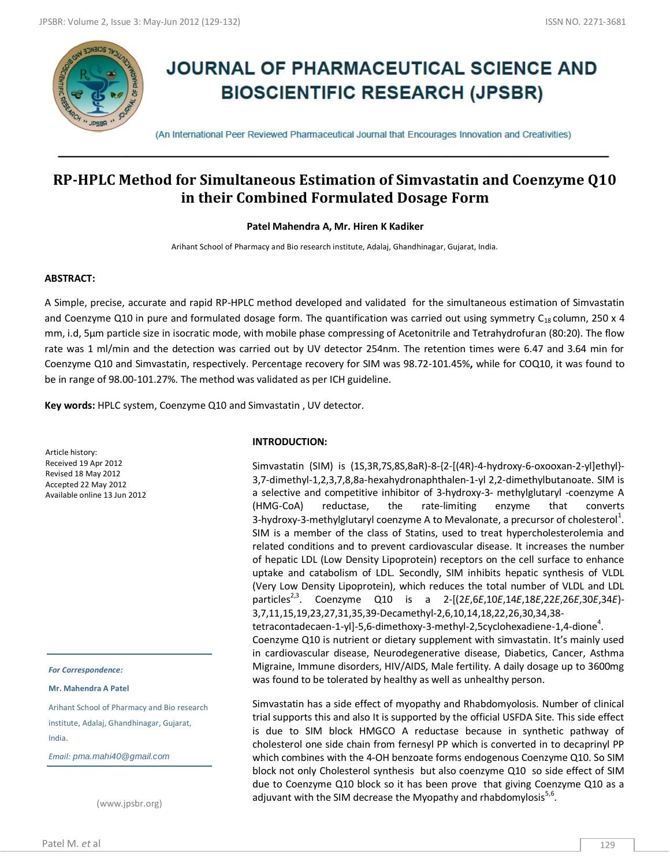

# **JOURNAL OF PHARMACEUTICAL SCIENCE AND BIOSCIENTIFIC RESEARCH (JPSBR)**

(An International Peer Reviewed Pharmaceutical Journal that Encourages Innovation and Creativities)

# **RP-HPLC Method for Simultaneous Estimation of Simvastatin and Coenzyme Q10 in their Combined Formulated Dosage Form**

# **Patel Mahendra A, Mr. Hiren K Kadiker**

Arihant School of Pharmacy and Bio research institute, Adalaj, Ghandhinagar, Gujarat, India.

# **ABSTRACT:**

A Simple, precise, accurate and rapid RP-HPLC method developed and validated for the simultaneous estimation of Simvastatin and Coenzyme Q10 in pure and formulated dosage form. The quantification was carried out using symmetry  $C_{18}$  column, 250 x 4 mm, i.d, 5μm particle size in isocratic mode, with mobile phase compressing of Acetonitrile and Tetrahydrofuran (80:20). The flow rate was 1 ml/min and the detection was carried out by UV detector 254nm. The retention times were 6.47 and 3.64 min for Coenzyme Q10 and Simvastatin, respectively. Percentage recovery for SIM was 98.72-101.45%**,** while for COQ10, it was found to be in range of 98.00-101.27%. The method was validated as per ICH guideline.

**Key words:** HPLC system, Coenzyme Q10 and Simvastatin , UV detector.

Article history: Received 19 Apr 2012 Revised 18 May 2012 Accepted 22 May 2012 Available online 13 Jun 2012

*For Correspondence:*

**Mr. Mahendra A Patel**

Arihant School of Pharmacy and Bio research institute, Adalaj, Ghandhinagar, Gujarat, India.

*Email: pma.mahi40@gmail.com*

(www.jpsbr.org)

#### **INTRODUCTION:**

Simvastatin (SIM) is (1S,3R,7S,8S,8aR)-8-{2-[(4R)-4-hydroxy-6-oxooxan-2-yl]ethyl}- 3,7-dimethyl-1,2,3,7,8,8a-hexahydronaphthalen-1-yl 2,2-dimethylbutanoate. SIM is a selective and competitive inhibitor of 3‐hydroxy‐3‐ methylglutaryl ‐coenzyme A (HMG‐CoA) reductase, the rate‐limiting enzyme that converts 3-hydroxy-3-methylglutaryl coenzyme A to Mevalonate, a precursor of cholesterol $^1$ . SIM is a member of the class of Statins, used to treat hypercholesterolemia and related conditions and to prevent cardiovascular disease. It increases the number of hepatic LDL (Low Density Lipoprotein) receptors on the cell surface to enhance uptake and catabolism of LDL. Secondly, SIM inhibits hepatic synthesis of VLDL (Very Low Density Lipoprotein), which reduces the total number of VLDL and LDL particles2,3. Coenzyme Q10 is a 2-[(2*E*,6*E*,10*E*,14*E*,18*E*,22*E*,26*E*,30*E*,34*E*)- 3,7,11,15,19,23,27,31,35,39-Decamethyl-2,6,10,14,18,22,26,30,34,38 tetracontadecaen-1-yl]-5,6-dimethoxy-3-methyl-2,5cyclohexadiene-1,4-dione $^4$ . Coenzyme Q10 is nutrient or dietary supplement with simvastatin. It's mainly used

in cardiovascular disease, Neurodegenerative disease, Diabetics, Cancer, Asthma Migraine, Immune disorders, HIV/AIDS, Male fertility. A daily dosage up to 3600mg was found to be tolerated by healthy as well as unhealthy person.

Simvastatin has a side effect of myopathy and Rhabdomyolosis. Number of clinical trial supports this and also It is supported by the official USFDA Site. This side effect is due to SIM block HMGCO A reductase because in synthetic pathway of cholesterol one side chain from fernesyl PP which is converted in to decaprinyl PP which combines with the 4-OH benzoate forms endogenous Coenzyme Q10. So SIM block not only Cholesterol synthesis but also coenzyme Q10 so side effect of SIM due to Coenzyme Q10 block so it has been prove that giving Coenzyme Q10 as a adjuvant with the SIM decrease the Myopathy and rhabdomylosis $^{5,6}$ .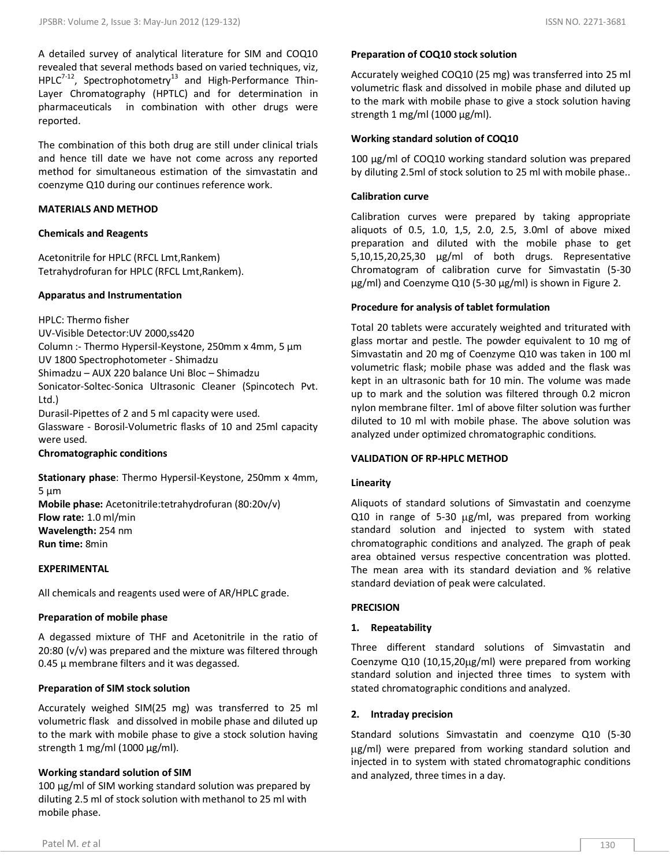The combination of this both drug are still under clinical trials and hence till date we have not come across any reported method for simultaneous estimation of the simvastatin and coenzyme Q10 during our continues reference work.

#### **MATERIALS AND METHOD**

#### **Chemicals and Reagents**

Acetonitrile for HPLC (RFCL Lmt,Rankem) Tetrahydrofuran for HPLC (RFCL Lmt,Rankem).

# **Apparatus and Instrumentation**

HPLC: Thermo fisher

UV-Visible Detector:UV 2000,ss420 Column :- Thermo Hypersil-Keystone, 250mm x 4mm, 5 µm UV 1800 Spectrophotometer - Shimadzu Shimadzu – AUX 220 balance Uni Bloc – Shimadzu Sonicator-Soltec-Sonica Ultrasonic Cleaner (Spincotech Pvt. Ltd.) Durasil-Pipettes of 2 and 5 ml capacity were used.

Glassware - Borosil-Volumetric flasks of 10 and 25ml capacity were used.

#### **Chromatographic conditions**

**Stationary phase**: Thermo Hypersil-Keystone, 250mm x 4mm,  $5 \mu m$ **Mobile phase:** Acetonitrile:tetrahydrofuran (80:20v/v) **Flow rate:** 1.0 ml/min **Wavelength:** 254 nm **Run time:** 8min

# **EXPERIMENTAL**

All chemicals and reagents used were of AR/HPLC grade.

# **Preparation of mobile phase**

A degassed mixture of THF and Acetonitrile in the ratio of 20:80 (v/v) was prepared and the mixture was filtered through  $0.45$   $\mu$  membrane filters and it was degassed.

# **Preparation of SIM stock solution**

Accurately weighed SIM(25 mg) was transferred to 25 ml volumetric flask and dissolved in mobile phase and diluted up to the mark with mobile phase to give a stock solution having strength 1 mg/ml (1000  $\mu$ g/ml).

# **Working standard solution of SIM**

100 µg/ml of SIM working standard solution was prepared by diluting 2.5 ml of stock solution with methanol to 25 ml with mobile phase.

# **Preparation of COQ10 stock solution**

Accurately weighed COQ10 (25 mg) was transferred into 25 ml volumetric flask and dissolved in mobile phase and diluted up to the mark with mobile phase to give a stock solution having strength 1 mg/ml (1000  $\mu$ g/ml).

# **Working standard solution of COQ10**

100 µg/ml of COQ10 working standard solution was prepared by diluting 2.5ml of stock solution to 25 ml with mobile phase..

# **Calibration curve**

Calibration curves were prepared by taking appropriate aliquots of 0.5, 1.0, 1,5, 2.0, 2.5, 3.0ml of above mixed preparation and diluted with the mobile phase to get 5,10,15,20,25,30 µg/ml of both drugs. Representative Chromatogram of calibration curve for Simvastatin (5-30 µg/ml) and Coenzyme Q10 (5-30 µg/ml) is shown in Figure 2.

# **Procedure for analysis of tablet formulation**

Total 20 tablets were accurately weighted and triturated with glass mortar and pestle. The powder equivalent to 10 mg of Simvastatin and 20 mg of Coenzyme Q10 was taken in 100 ml volumetric flask; mobile phase was added and the flask was kept in an ultrasonic bath for 10 min. The volume was made up to mark and the solution was filtered through 0.2 micron nylon membrane filter. 1ml of above filter solution was further diluted to 10 ml with mobile phase. The above solution was analyzed under optimized chromatographic conditions.

#### **VALIDATION OF RP-HPLC METHOD**

# **Linearity**

Aliquots of standard solutions of Simvastatin and coenzyme Q10 in range of 5-30  $\mu$ g/ml, was prepared from working standard solution and injected to system with stated chromatographic conditions and analyzed. The graph of peak area obtained versus respective concentration was plotted. The mean area with its standard deviation and % relative standard deviation of peak were calculated.

# **PRECISION**

# **1. Repeatability**

Three different standard solutions of Simvastatin and Coenzyme Q10 (10,15,20µg/ml) were prepared from working standard solution and injected three times to system with stated chromatographic conditions and analyzed.

# **2. Intraday precision**

Standard solutions Simvastatin and coenzyme Q10 (5-30 ug/ml) were prepared from working standard solution and injected in to system with stated chromatographic conditions and analyzed, three times in a day.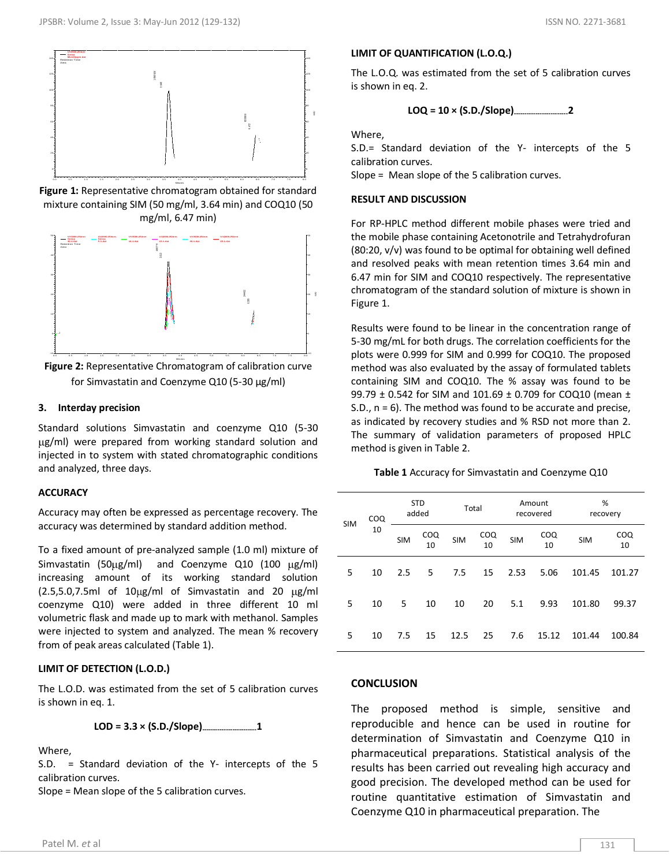

**Figure 1:** Representative chromatogram obtained for standard mixture containing SIM (50 mg/ml, 3.64 min) and COQ10 (50 mg/ml, 6.47 min)



**Figure 2:** Representative Chromatogram of calibration curve for Simvastatin and Coenzyme Q10 (5-30 µg/ml)

# **3. Interday precision**

Standard solutions Simvastatin and coenzyme Q10 (5-30  $\mu$ g/ml) were prepared from working standard solution and injected in to system with stated chromatographic conditions and analyzed, three days.

# **ACCURACY**

Accuracy may often be expressed as percentage recovery. The accuracy was determined by standard addition method.

To a fixed amount of pre-analyzed sample (1.0 ml) mixture of Simvastatin (50 $\mu$ g/ml) and Coenzyme Q10 (100  $\mu$ g/ml) increasing amount of its working standard solution  $(2.5,5.0,7.5m)$  of  $10\mu g/ml$  of Simvastatin and 20  $\mu g/ml$ coenzyme Q10) were added in three different 10 ml volumetric flask and made up to mark with methanol. Samples were injected to system and analyzed. The mean % recovery from of peak areas calculated (Table 1).

# **LIMIT OF DETECTION (L.O.D.)**

The L.O.D. was estimated from the set of 5 calibration curves is shown in eq. 1.

**LOD = 3.3 × (S.D./Slope)-------------------------1**

# Where,

S.D. = Standard deviation of the Y- intercepts of the 5 calibration curves.

Slope = Mean slope of the 5 calibration curves.

# **LIMIT OF QUANTIFICATION (L.O.Q.)**

The L.O.Q. was estimated from the set of 5 calibration curves is shown in eq. 2.

$$
LOQ = 10 \times (S.D./Slope)
$$
............ 2

Where,

manus m

S.D.= Standard deviation of the Y- intercepts of the 5 calibration curves.

Slope = Mean slope of the 5 calibration curves.

#### **RESULT AND DISCUSSION**

For RP-HPLC method different mobile phases were tried and the mobile phase containing Acetonotrile and Tetrahydrofuran  $(80:20, v/v)$  was found to be optimal for obtaining well defined and resolved peaks with mean retention times 3.64 min and 6.47 min for SIM and COQ10 respectively. The representative chromatogram of the standard solution of mixture is shown in Figure 1.

Results were found to be linear in the concentration range of 5-30 mg/mL for both drugs. The correlation coefficients for the plots were 0.999 for SIM and 0.999 for COQ10. The proposed method was also evaluated by the assay of formulated tablets containing SIM and COQ10. The % assay was found to be 99.79 ± 0.542 for SIM and 101.69 ± 0.709 for COQ10 (mean ± S.D., n = 6). The method was found to be accurate and precise, as indicated by recovery studies and % RSD not more than 2. The summary of validation parameters of proposed HPLC method is given in Table 2.

**Table 1** Accuracy for Simvastatin and Coenzyme Q10

| <b>SIM</b> | COQ<br>10 | <b>STD</b><br>added |           | Total      |           | Amount<br>recovered |           | %<br>recovery |           |
|------------|-----------|---------------------|-----------|------------|-----------|---------------------|-----------|---------------|-----------|
|            |           | <b>SIM</b>          | COQ<br>10 | <b>SIM</b> | COQ<br>10 | <b>SIM</b>          | COQ<br>10 | <b>SIM</b>    | COQ<br>10 |
| 5          | 10        | 2.5                 | 5         | 7.5        | 15        | 2.53                | 5.06      | 101.45        | 101.27    |
| 5          | 10        | 5                   | 10        | 10         | 20        | 5.1                 | 9.93      | 101.80        | 99.37     |
| 5          | 10        | 7.5                 | 15        | 12.5       | 25        | 7.6                 | 15.12     | 101.44        | 100.84    |

#### **CONCLUSION**

The proposed method is simple, sensitive and reproducible and hence can be used in routine for determination of Simvastatin and Coenzyme Q10 in pharmaceutical preparations. Statistical analysis of the results has been carried out revealing high accuracy and good precision. The developed method can be used for routine quantitative estimation of Simvastatin and Coenzyme Q10 in pharmaceutical preparation. The